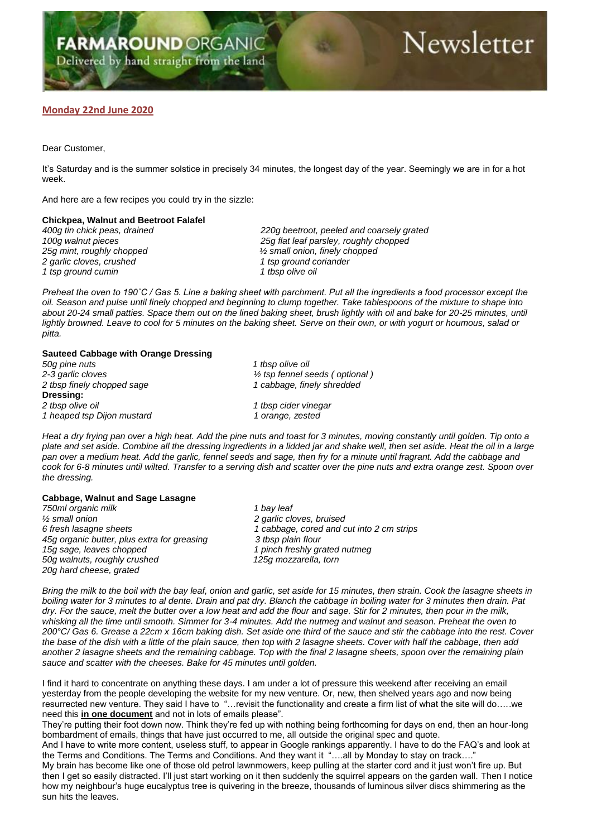# **Newsletter**

## **Monday 22nd June 2020**

Dear Customer,

It's Saturday and is the summer solstice in precisely 34 minutes, the longest day of the year. Seemingly we are in for a hot week.

And here are a few recipes you could try in the sizzle:

### **Chickpea, Walnut and Beetroot Falafel**

*2 garlic cloves, crushed 1 tsp ground coriander 1 tsp ground cumin 1 tbsp olive oil*

*400g tin chick peas, drained 220g beetroot, peeled and coarsely grated 100g walnut pieces 25g flat leaf parsley, roughly chopped 25g mint, roughly chopped ½ small onion, finely chopped*

*Preheat the oven to 190˚C / Gas 5. Line a baking sheet with parchment. Put all the ingredients a food processor except the oil. Season and pulse until finely chopped and beginning to clump together. Take tablespoons of the mixture to shape into*  about 20-24 small patties. Space them out on the lined baking sheet, brush lightly with oil and bake for 20-25 minutes, until *lightly browned. Leave to cool for 5 minutes on the baking sheet. Serve on their own, or with yogurt or houmous, salad or pitta.*

### **Sauteed Cabbage with Orange Dressing**

*50g pine nuts 1 tbsp olive oil* 2 tbsp finely chopped sage **Dressing:**<br>2 tbsp olive oil *1 heaped tsp Dijon mustard 1 orange, zested*

*2-3 garlic cloves ½ tsp fennel seeds ( optional ) 2 tbsp olive oil 1 tbsp cider vinegar*

*Heat a dry frying pan over a high heat. Add the pine nuts and toast for 3 minutes, moving constantly until golden. Tip onto a plate and set aside. Combine all the dressing ingredients in a lidded jar and shake well, then set aside. Heat the oil in a large pan over a medium heat. Add the garlic, fennel seeds and sage, then fry for a minute until fragrant. Add the cabbage and cook for 6-8 minutes until wilted. Transfer to a serving dish and scatter over the pine nuts and extra orange zest. Spoon over the dressing.*

### **Cabbage, Walnut and Sage Lasagne**

*750ml organic milk 1 bay leaf ½ small onion 2 garlic cloves, bruised 6 fresh lasagne sheets 1 cabbage, cored and cut into 2 cm strips 45g organic butter, plus extra for greasing 3 tbsp plain flour 50g walnuts, roughly crushed 125g mozzarella, torn 20g hard cheese, grated*

1 pinch freshly grated nutmeg

*Bring the milk to the boil with the bay leaf, onion and garlic, set aside for 15 minutes, then strain. Cook the lasagne sheets in boiling water for 3 minutes to al dente. Drain and pat dry. Blanch the cabbage in boiling water for 3 minutes then drain. Pat dry. For the sauce, melt the butter over a low heat and add the flour and sage. Stir for 2 minutes, then pour in the milk, whisking all the time until smooth. Simmer for 3-4 minutes. Add the nutmeg and walnut and season. Preheat the oven to 200°C/ Gas 6. Grease a 22cm x 16cm baking dish. Set aside one third of the sauce and stir the cabbage into the rest. Cover the base of the dish with a little of the plain sauce, then top with 2 lasagne sheets. Cover with half the cabbage, then add another 2 lasagne sheets and the remaining cabbage. Top with the final 2 lasagne sheets, spoon over the remaining plain sauce and scatter with the cheeses. Bake for 45 minutes until golden.*

I find it hard to concentrate on anything these days. I am under a lot of pressure this weekend after receiving an email yesterday from the people developing the website for my new venture. Or, new, then shelved years ago and now being resurrected new venture. They said I have to "…revisit the functionality and create a firm list of what the site will do…..we need this **in one document** and not in lots of emails please".

They're putting their foot down now. Think they're fed up with nothing being forthcoming for days on end, then an hour-long bombardment of emails, things that have just occurred to me, all outside the original spec and quote.

And I have to write more content, useless stuff, to appear in Google rankings apparently. I have to do the FAQ's and look at the Terms and Conditions. The Terms and Conditions. And they want it "....all by Monday to stay on track...."

My brain has become like one of those old petrol lawnmowers, keep pulling at the starter cord and it just won't fire up. But then I get so easily distracted. I'll just start working on it then suddenly the squirrel appears on the garden wall. Then I notice how my neighbour's huge eucalyptus tree is quivering in the breeze, thousands of luminous silver discs shimmering as the sun hits the leaves.